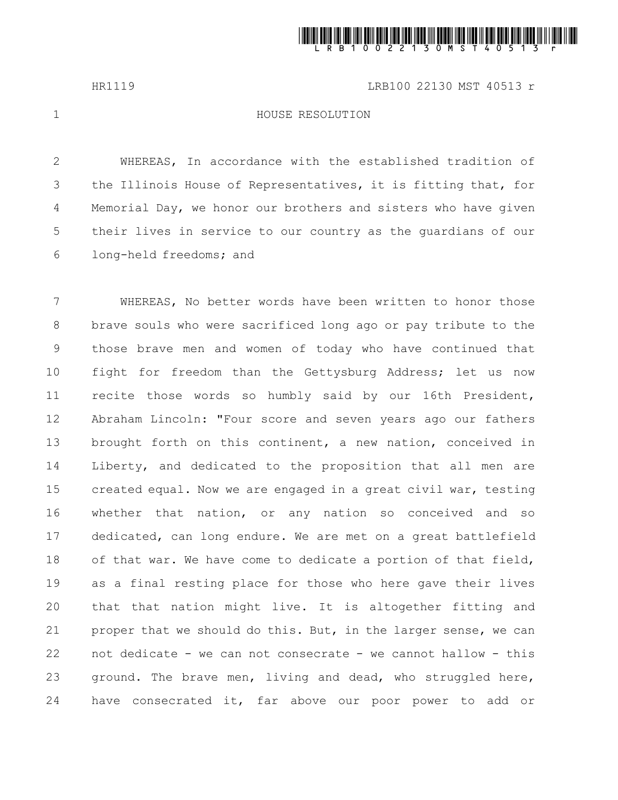

HR1119 LRB100 22130 MST 40513 r

1

## HOUSE RESOLUTION

WHEREAS, In accordance with the established tradition of the Illinois House of Representatives, it is fitting that, for Memorial Day, we honor our brothers and sisters who have given their lives in service to our country as the guardians of our long-held freedoms; and 2 3 4 5 6

WHEREAS, No better words have been written to honor those brave souls who were sacrificed long ago or pay tribute to the those brave men and women of today who have continued that fight for freedom than the Gettysburg Address; let us now recite those words so humbly said by our 16th President, Abraham Lincoln: "Four score and seven years ago our fathers brought forth on this continent, a new nation, conceived in Liberty, and dedicated to the proposition that all men are created equal. Now we are engaged in a great civil war, testing whether that nation, or any nation so conceived and so dedicated, can long endure. We are met on a great battlefield of that war. We have come to dedicate a portion of that field, as a final resting place for those who here gave their lives that that nation might live. It is altogether fitting and proper that we should do this. But, in the larger sense, we can not dedicate - we can not consecrate - we cannot hallow - this ground. The brave men, living and dead, who struggled here, have consecrated it, far above our poor power to add or 7 8 9 10 11 12 13 14 15 16 17 18 19 20 21 22 23 24